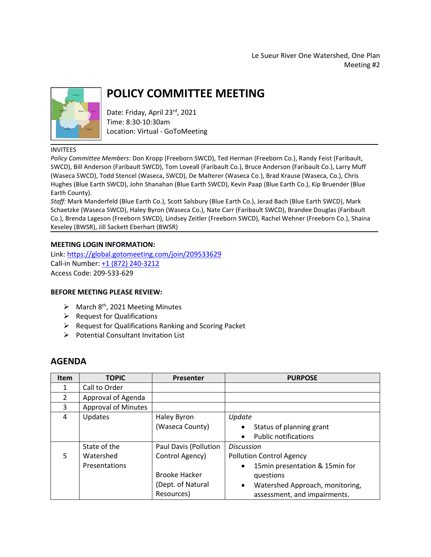Le Sueur River One Watershed, One Plan Meeting #2



# **POLICY COMMITTEE MEETING**

Date: Friday, April 23rd, 2021 Time: 8:30-10:30am Location: Virtual - GoToMeeting

#### INVITEES

*Policy Committee Members*: Don Kropp (Freeborn SWCD), Ted Herman (Freeborn Co.), Randy Feist (Faribault, SWCD), Bill Anderson (Faribault SWCD), Tom Loveall (Faribault Co.), Bruce Anderson (Faribault Co.), Larry Muff (Waseca SWCD), Todd Stencel (Waseca, SWCD), De Malterer (Waseca Co.), Brad Krause (Waseca, Co.), Chris Hughes (Blue Earth SWCD), John Shanahan (Blue Earth SWCD), Kevin Paap (Blue Earth Co.), Kip Bruender (Blue Earth County).

*Staff:* Mark Manderfeld (Blue Earth Co.), Scott Salsbury (Blue Earth Co.), Jerad Bach (Blue Earth SWCD), Mark Schaetzke (Waseca SWCD), Haley Byron (Waseca Co.), Nate Carr (Faribault SWCD), Brandee Douglas (Faribault Co.), Brenda Lageson (Freeborn SWCD), Lindsey Zeitler (Freeborn SWCD), Rachel Wehner (Freeborn Co.), Shaina Keseley (BWSR), Jill Sackett Eberhart (BWSR)

#### **MEETING LOGIN INFORMATION:**

Link:<https://global.gotomeeting.com/join/209533629> Call-in Number[: +1 \(872\) 240-3212](tel:+18722403212,,209533629) Access Code: 209-533-629

### **BEFORE MEETING PLEASE REVIEW:**

- $\triangleright$  March 8<sup>th</sup>, 2021 Meeting Minutes
- $\triangleright$  Request for Qualifications
- ➢ Request for Qualifications Ranking and Scoring Packet
- ➢ Potential Consultant Invitation List

## **AGENDA**

| <b>Item</b>   | <b>TOPIC</b>               | <b>Presenter</b>      | <b>PURPOSE</b>                               |
|---------------|----------------------------|-----------------------|----------------------------------------------|
| 1             | Call to Order              |                       |                                              |
| $\mathcal{P}$ | Approval of Agenda         |                       |                                              |
| 3             | <b>Approval of Minutes</b> |                       |                                              |
| 4             | Updates                    | Haley Byron           | Update                                       |
|               |                            | (Waseca County)       | Status of planning grant<br>$\bullet$        |
|               |                            |                       | <b>Public notifications</b><br>$\bullet$     |
|               | State of the               | Paul Davis (Pollution | <b>Discussion</b>                            |
| 5             | Watershed                  | Control Agency)       | <b>Pollution Control Agency</b>              |
|               | Presentations              |                       | 15min presentation & 15min for<br>$\bullet$  |
|               |                            | <b>Brooke Hacker</b>  | questions                                    |
|               |                            | (Dept. of Natural     | Watershed Approach, monitoring,<br>$\bullet$ |
|               |                            | Resources)            | assessment, and impairments.                 |